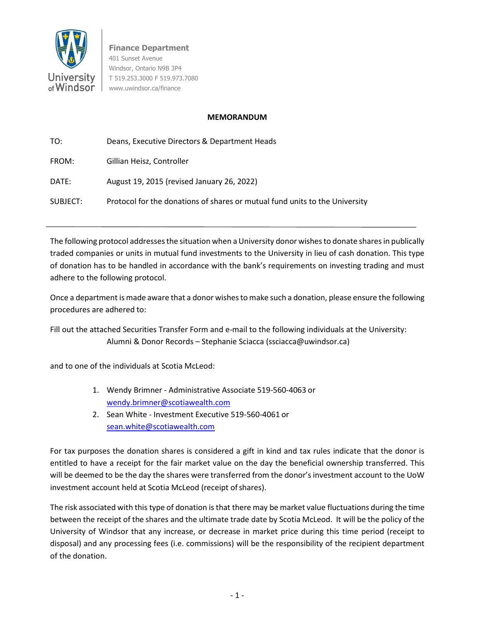

**Finance Department** 401 Sunset Avenue Windsor, Ontario N9B 3P4 T 519.253.3000 F 519.973.7080 [www.uwindsor.ca/finance](http://www.uwindsor.ca/finance)

## **MEMORANDUM**

| TO:      | Deans, Executive Directors & Department Heads                               |
|----------|-----------------------------------------------------------------------------|
| FROM:    | Gillian Heisz, Controller                                                   |
| DATE:    | August 19, 2015 (revised January 26, 2022)                                  |
| SUBJECT: | Protocol for the donations of shares or mutual fund units to the University |

The following protocol addresses the situation when a University donor wishes to donate shares in publically traded companies or units in mutual fund investments to the University in lieu of cash donation. This type of donation has to be handled in accordance with the bank's requirements on investing trading and must adhere to the following protocol.

Once a department is made aware that a donor wishesto make such a donation, please ensure the following procedures are adhered to:

Fill out the attached Securities Transfer Form and e-mail to the following individuals at the University: Alumni & Donor Records – Stephanie Sciacca (ssciacca@uwindsor.ca)

and to one of the individuals at Scotia McLeod:

- 1. Wendy Brimner Administrative Associate 519-560-4063 or [wendy.brimner@scotiawealth.com](mailto:wendy.brimner@scotiawealth.com)
- 2. Sean White Investment Executive 519-560-4061 or [sean.white@scotiawealth.com](mailto:sean.white@scotiawealth.com)

For tax purposes the donation shares is considered a gift in kind and tax rules indicate that the donor is entitled to have a receipt for the fair market value on the day the beneficial ownership transferred. This will be deemed to be the day the shares were transferred from the donor's investment account to the UoW investment account held at Scotia McLeod (receipt of shares).

The risk associated with this type of donation is that there may be market value fluctuations during the time between the receipt of the shares and the ultimate trade date by Scotia McLeod. It will be the policy of the University of Windsor that any increase, or decrease in market price during this time period (receipt to disposal) and any processing fees (i.e. commissions) will be the responsibility of the recipient department of the donation.